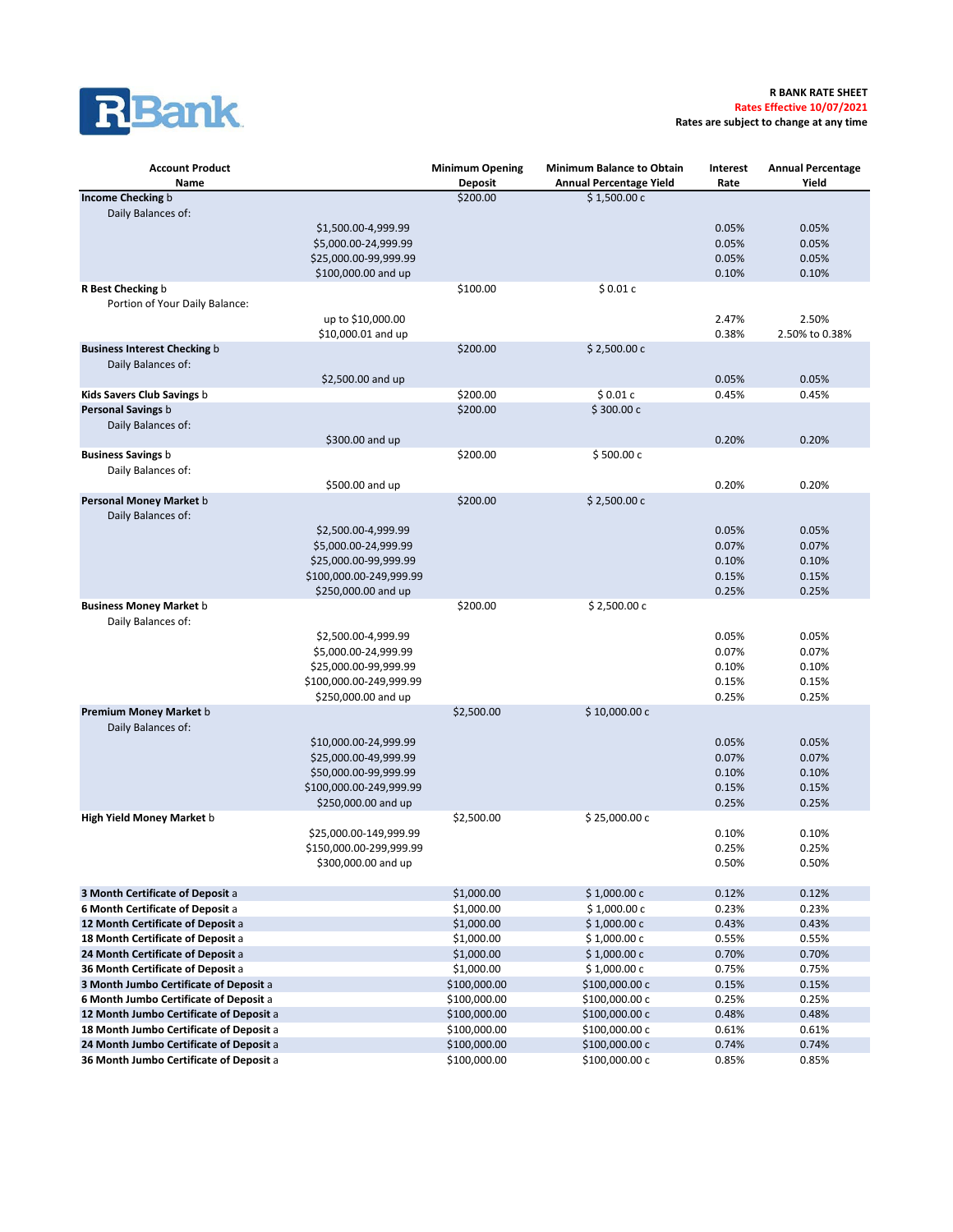

**Rates are subject to change at any time**

| <b>Account Product</b><br>Name                                                     |                                                                                                                           | <b>Minimum Opening</b><br><b>Deposit</b> | <b>Minimum Balance to Obtain</b><br><b>Annual Percentage Yield</b> | Interest<br>Rate                          | <b>Annual Percentage</b><br>Yield         |
|------------------------------------------------------------------------------------|---------------------------------------------------------------------------------------------------------------------------|------------------------------------------|--------------------------------------------------------------------|-------------------------------------------|-------------------------------------------|
| Income Checking b                                                                  |                                                                                                                           | \$200.00                                 | \$1,500.00 c                                                       |                                           |                                           |
| Daily Balances of:                                                                 | \$1,500.00-4,999.99<br>\$5,000.00-24,999.99<br>\$25,000.00-99,999.99<br>\$100,000.00 and up                               |                                          |                                                                    | 0.05%<br>0.05%<br>0.05%<br>0.10%          | 0.05%<br>0.05%<br>0.05%<br>0.10%          |
| R Best Checking b<br>Portion of Your Daily Balance:                                | up to \$10,000.00                                                                                                         | \$100.00                                 | \$0.01c                                                            | 2.47%                                     | 2.50%                                     |
|                                                                                    | \$10,000.01 and up                                                                                                        |                                          |                                                                    | 0.38%                                     | 2.50% to 0.38%                            |
| <b>Business Interest Checking b</b><br>Daily Balances of:                          |                                                                                                                           | \$200.00                                 | \$2,500.00 c                                                       |                                           |                                           |
|                                                                                    | \$2,500.00 and up                                                                                                         |                                          |                                                                    | 0.05%                                     | 0.05%                                     |
| Kids Savers Club Savings b<br>Personal Savings b<br>Daily Balances of:             |                                                                                                                           | \$200.00<br>\$200.00                     | \$0.01c<br>\$300.00c                                               | 0.45%                                     | 0.45%                                     |
|                                                                                    | \$300.00 and up                                                                                                           |                                          |                                                                    | 0.20%                                     | 0.20%                                     |
| <b>Business Savings b</b><br>Daily Balances of:                                    |                                                                                                                           | \$200.00                                 | \$500.00c                                                          |                                           |                                           |
| Personal Money Market b                                                            | \$500.00 and up                                                                                                           |                                          |                                                                    | 0.20%                                     | 0.20%                                     |
| Daily Balances of:                                                                 | \$2,500.00-4,999.99<br>\$5,000.00-24,999.99<br>\$25,000.00-99,999.99<br>\$100,000.00-249,999.99                           | \$200.00                                 | \$2,500.00 c                                                       | 0.05%<br>0.07%<br>0.10%<br>0.15%          | 0.05%<br>0.07%<br>0.10%<br>0.15%          |
| <b>Business Money Market b</b>                                                     | \$250,000.00 and up                                                                                                       | \$200.00                                 | \$2,500.00 c                                                       | 0.25%                                     | 0.25%                                     |
| Daily Balances of:                                                                 | \$2,500.00-4,999.99<br>\$5,000.00-24,999.99<br>\$25,000.00-99,999.99<br>\$100,000.00-249,999.99<br>\$250,000.00 and up    |                                          |                                                                    | 0.05%<br>0.07%<br>0.10%<br>0.15%<br>0.25% | 0.05%<br>0.07%<br>0.10%<br>0.15%<br>0.25% |
| <b>Premium Money Market b</b><br>Daily Balances of:                                | \$10,000.00-24,999.99<br>\$25,000.00-49,999.99<br>\$50,000.00-99,999.99<br>\$100,000.00-249,999.99<br>\$250,000.00 and up | \$2,500.00                               | \$10,000.00 c                                                      | 0.05%<br>0.07%<br>0.10%<br>0.15%<br>0.25% | 0.05%<br>0.07%<br>0.10%<br>0.15%<br>0.25% |
| High Yield Money Market b                                                          | \$25,000.00-149,999.99<br>\$150,000.00-299,999.99<br>\$300,000.00 and up                                                  | \$2,500.00                               | \$25,000.00 c                                                      | 0.10%<br>0.25%<br>0.50%                   | 0.10%<br>0.25%<br>0.50%                   |
| 3 Month Certificate of Deposit a                                                   |                                                                                                                           | \$1,000.00                               | \$1,000.00 c                                                       | 0.12%                                     | 0.12%                                     |
| 6 Month Certificate of Deposit a                                                   |                                                                                                                           | \$1,000.00                               | \$1,000.00 c                                                       | 0.23%                                     | 0.23%                                     |
| 12 Month Certificate of Deposit a                                                  |                                                                                                                           | \$1,000.00                               | \$1,000.00 c                                                       | 0.43%                                     | 0.43%                                     |
| 18 Month Certificate of Deposit a                                                  |                                                                                                                           | \$1,000.00                               | \$1,000.00 c                                                       | 0.55%                                     | 0.55%                                     |
| 24 Month Certificate of Deposit a                                                  |                                                                                                                           | \$1,000.00                               | \$1,000.00 c                                                       | 0.70%                                     | 0.70%                                     |
| 36 Month Certificate of Deposit a                                                  |                                                                                                                           | \$1,000.00                               | \$1,000.00 c                                                       | 0.75%                                     | 0.75%                                     |
| 3 Month Jumbo Certificate of Deposit a                                             |                                                                                                                           | \$100,000.00                             | \$100,000.00 c                                                     | 0.15%                                     | 0.15%                                     |
| 6 Month Jumbo Certificate of Deposit a                                             |                                                                                                                           | \$100,000.00                             | \$100,000.00 c                                                     | 0.25%                                     | 0.25%                                     |
| 12 Month Jumbo Certificate of Deposit a<br>18 Month Jumbo Certificate of Deposit a |                                                                                                                           | \$100,000.00<br>\$100,000.00             | \$100,000.00 c<br>\$100,000.00 c                                   | 0.48%<br>0.61%                            | 0.48%<br>0.61%                            |
| 24 Month Jumbo Certificate of Deposit a<br>36 Month Jumbo Certificate of Deposit a |                                                                                                                           | \$100,000.00<br>\$100,000.00             | \$100,000.00 c<br>\$100,000.00 c                                   | 0.74%<br>0.85%                            | 0.74%<br>0.85%                            |